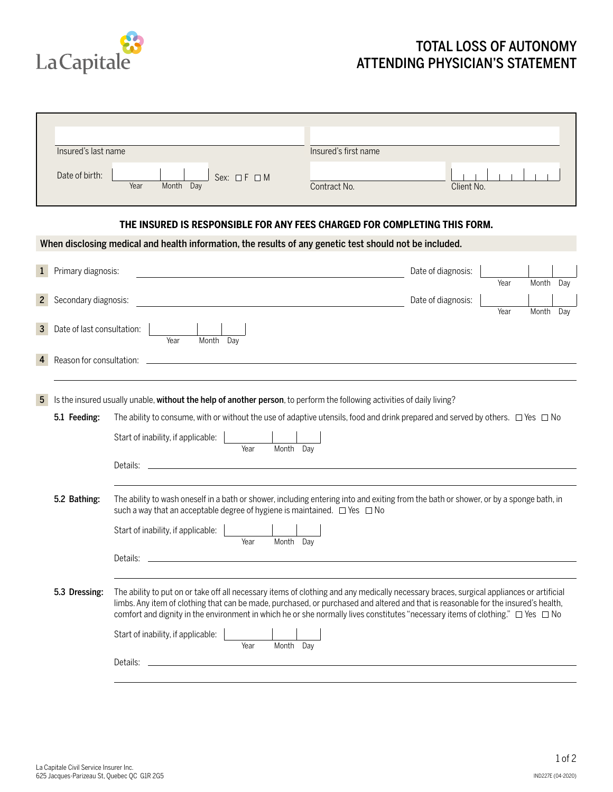

## TOTAL LOSS OF AUTONOMY ATTENDING PHYSICIAN'S STATEMENT

|                                                                                                         | Insured's last name        |                                                                                                                                                                                                                                                                                                                                                                                                                           | Insured's first name |                    |      |           |     |  |  |
|---------------------------------------------------------------------------------------------------------|----------------------------|---------------------------------------------------------------------------------------------------------------------------------------------------------------------------------------------------------------------------------------------------------------------------------------------------------------------------------------------------------------------------------------------------------------------------|----------------------|--------------------|------|-----------|-----|--|--|
|                                                                                                         | Date of birth:             | Sex: $\Box$ $F$ $\Box$ M<br>Year<br>Month Day                                                                                                                                                                                                                                                                                                                                                                             | Contract No.         | Client No.         |      |           |     |  |  |
| THE INSURED IS RESPONSIBLE FOR ANY FEES CHARGED FOR COMPLETING THIS FORM.                               |                            |                                                                                                                                                                                                                                                                                                                                                                                                                           |                      |                    |      |           |     |  |  |
| When disclosing medical and health information, the results of any genetic test should not be included. |                            |                                                                                                                                                                                                                                                                                                                                                                                                                           |                      |                    |      |           |     |  |  |
| $\mathbf{1}$                                                                                            | Primary diagnosis:         |                                                                                                                                                                                                                                                                                                                                                                                                                           |                      | Date of diagnosis: | Year | Month     | Day |  |  |
| $\mathbf{2}^{\prime}$                                                                                   | Secondary diagnosis:       | <u> 1980 - Johann Barbara, martxa alemaniar arg</u>                                                                                                                                                                                                                                                                                                                                                                       |                      | Date of diagnosis: | Year | Month Day |     |  |  |
| $\mathbf{3}$                                                                                            | Date of last consultation: |                                                                                                                                                                                                                                                                                                                                                                                                                           |                      |                    |      |           |     |  |  |
| 4                                                                                                       |                            | Month Day<br>Year                                                                                                                                                                                                                                                                                                                                                                                                         |                      |                    |      |           |     |  |  |
| $5\overline{)}$                                                                                         |                            |                                                                                                                                                                                                                                                                                                                                                                                                                           |                      |                    |      |           |     |  |  |
|                                                                                                         | 5.1 Feeding:               | Is the insured usually unable, without the help of another person, to perform the following activities of daily living?<br>The ability to consume, with or without the use of adaptive utensils, food and drink prepared and served by others. $\Box$ Yes $\Box$ No                                                                                                                                                       |                      |                    |      |           |     |  |  |
|                                                                                                         |                            | Start of inability, if applicable:<br>Month Day<br>Year                                                                                                                                                                                                                                                                                                                                                                   |                      |                    |      |           |     |  |  |
|                                                                                                         |                            | Details: _<br><u> 1989 - Johann Stein, mars an deutscher Stein und der Stein und der Stein und der Stein und der Stein und der</u>                                                                                                                                                                                                                                                                                        |                      |                    |      |           |     |  |  |
|                                                                                                         | 5.2 Bathing:               | The ability to wash oneself in a bath or shower, including entering into and exiting from the bath or shower, or by a sponge bath, in<br>such a way that an acceptable degree of hygiene is maintained. $\Box$ Yes $\Box$ No                                                                                                                                                                                              |                      |                    |      |           |     |  |  |
|                                                                                                         |                            | Start of inability, if applicable:<br>Month Day<br>Year                                                                                                                                                                                                                                                                                                                                                                   |                      |                    |      |           |     |  |  |
|                                                                                                         |                            | Details:                                                                                                                                                                                                                                                                                                                                                                                                                  |                      |                    |      |           |     |  |  |
|                                                                                                         | 5.3 Dressing:              | The ability to put on or take off all necessary items of clothing and any medically necessary braces, surgical appliances or artificial<br>limbs. Any item of clothing that can be made, purchased, or purchased and altered and that is reasonable for the insured's health,<br>comfort and dignity in the environment in which he or she normally lives constitutes "necessary items of clothing." $\Box$ Yes $\Box$ No |                      |                    |      |           |     |  |  |
|                                                                                                         |                            | Start of inability, if applicable:<br>Year<br>Month Day                                                                                                                                                                                                                                                                                                                                                                   |                      |                    |      |           |     |  |  |
|                                                                                                         |                            | Details:                                                                                                                                                                                                                                                                                                                                                                                                                  |                      |                    |      |           |     |  |  |
|                                                                                                         |                            |                                                                                                                                                                                                                                                                                                                                                                                                                           |                      |                    |      |           |     |  |  |